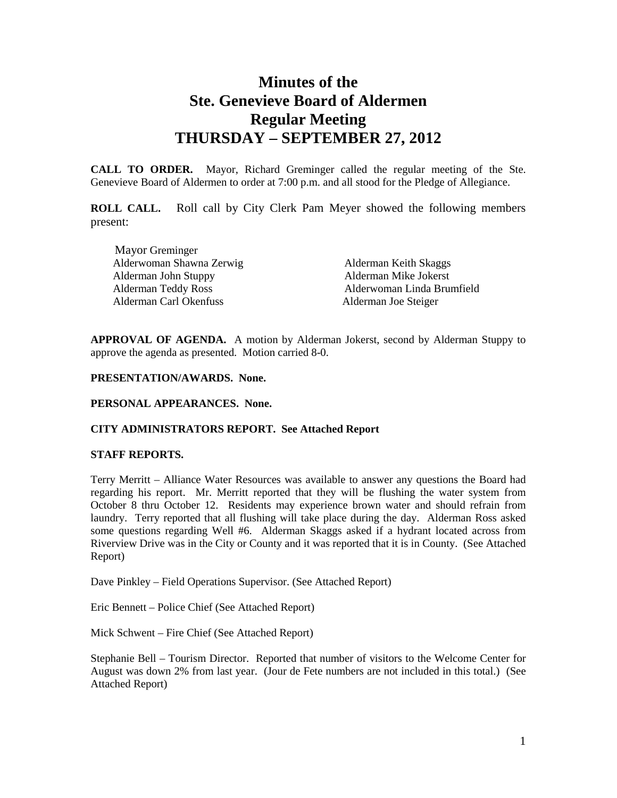# **Minutes of the Ste. Genevieve Board of Aldermen Regular Meeting THURSDAY – SEPTEMBER 27, 2012**

**CALL TO ORDER.** Mayor, Richard Greminger called the regular meeting of the Ste. Genevieve Board of Aldermen to order at 7:00 p.m. and all stood for the Pledge of Allegiance.

**ROLL CALL.** Roll call by City Clerk Pam Meyer showed the following members present:

Mayor Greminger Alderwoman Shawna Zerwig Alderman Keith Skaggs Alderman John Stuppy Alderman Mike Jokerst Alderman Carl Okenfuss Alderman Joe Steiger

Alderwoman Linda Brumfield

**APPROVAL OF AGENDA.** A motion by Alderman Jokerst, second by Alderman Stuppy to approve the agenda as presented. Motion carried 8-0.

#### **PRESENTATION/AWARDS. None.**

#### **PERSONAL APPEARANCES. None.**

## **CITY ADMINISTRATORS REPORT. See Attached Report**

#### **STAFF REPORTS.**

Terry Merritt – Alliance Water Resources was available to answer any questions the Board had regarding his report. Mr. Merritt reported that they will be flushing the water system from October 8 thru October 12. Residents may experience brown water and should refrain from laundry. Terry reported that all flushing will take place during the day. Alderman Ross asked some questions regarding Well #6. Alderman Skaggs asked if a hydrant located across from Riverview Drive was in the City or County and it was reported that it is in County. (See Attached Report)

Dave Pinkley – Field Operations Supervisor. (See Attached Report)

Eric Bennett – Police Chief (See Attached Report)

Mick Schwent – Fire Chief (See Attached Report)

Stephanie Bell – Tourism Director. Reported that number of visitors to the Welcome Center for August was down 2% from last year. (Jour de Fete numbers are not included in this total.) (See Attached Report)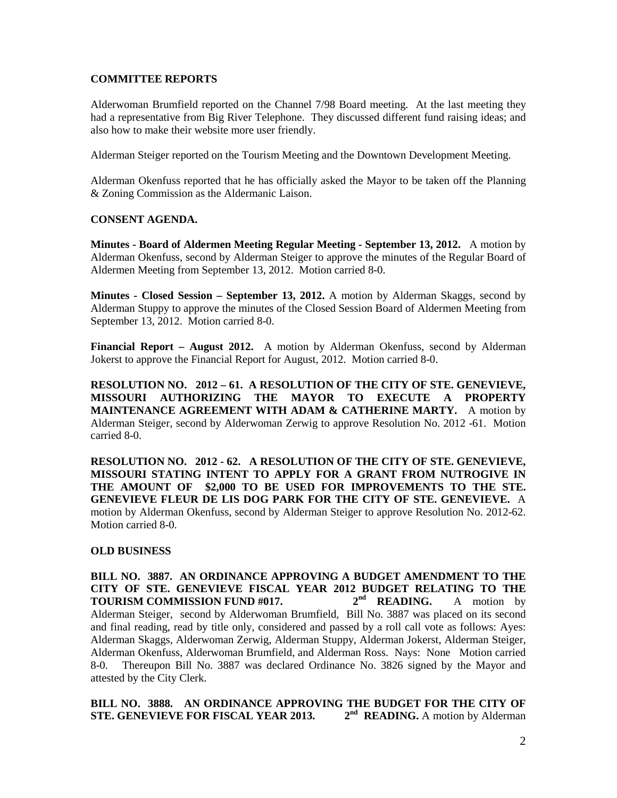#### **COMMITTEE REPORTS**

Alderwoman Brumfield reported on the Channel 7/98 Board meeting. At the last meeting they had a representative from Big River Telephone. They discussed different fund raising ideas; and also how to make their website more user friendly.

Alderman Steiger reported on the Tourism Meeting and the Downtown Development Meeting.

Alderman Okenfuss reported that he has officially asked the Mayor to be taken off the Planning & Zoning Commission as the Aldermanic Laison.

## **CONSENT AGENDA.**

**Minutes - Board of Aldermen Meeting Regular Meeting - September 13, 2012.** A motion by Alderman Okenfuss, second by Alderman Steiger to approve the minutes of the Regular Board of Aldermen Meeting from September 13, 2012. Motion carried 8-0.

**Minutes - Closed Session – September 13, 2012.** A motion by Alderman Skaggs, second by Alderman Stuppy to approve the minutes of the Closed Session Board of Aldermen Meeting from September 13, 2012. Motion carried 8-0.

**Financial Report – August 2012.** A motion by Alderman Okenfuss, second by Alderman Jokerst to approve the Financial Report for August, 2012. Motion carried 8-0.

**RESOLUTION NO. 2012 – 61. A RESOLUTION OF THE CITY OF STE. GENEVIEVE, MISSOURI AUTHORIZING THE MAYOR TO EXECUTE A PROPERTY MAINTENANCE AGREEMENT WITH ADAM & CATHERINE MARTY.** A motion by Alderman Steiger, second by Alderwoman Zerwig to approve Resolution No. 2012 -61. Motion carried 8-0.

**RESOLUTION NO. 2012 - 62. A RESOLUTION OF THE CITY OF STE. GENEVIEVE, MISSOURI STATING INTENT TO APPLY FOR A GRANT FROM NUTROGIVE IN THE AMOUNT OF \$2,000 TO BE USED FOR IMPROVEMENTS TO THE STE. GENEVIEVE FLEUR DE LIS DOG PARK FOR THE CITY OF STE. GENEVIEVE.** A motion by Alderman Okenfuss, second by Alderman Steiger to approve Resolution No. 2012-62. Motion carried 8-0.

## **OLD BUSINESS**

**BILL NO. 3887. AN ORDINANCE APPROVING A BUDGET AMENDMENT TO THE CITY OF STE. GENEVIEVE FISCAL YEAR 2012 BUDGET RELATING TO THE TOURISM COMMISSION FUND #017.** 2<sup>nd</sup> READING. A motion by **TOURISM COMMISSION FUND #017. 2nd READING.** A motion by Alderman Steiger, second by Alderwoman Brumfield, Bill No. 3887 was placed on its second and final reading, read by title only, considered and passed by a roll call vote as follows: Ayes: Alderman Skaggs, Alderwoman Zerwig, Alderman Stuppy, Alderman Jokerst, Alderman Steiger, Alderman Okenfuss, Alderwoman Brumfield, and Alderman Ross. Nays: None Motion carried 8-0. Thereupon Bill No. 3887 was declared Ordinance No. 3826 signed by the Mayor and attested by the City Clerk.

**BILL NO. 3888. AN ORDINANCE APPROVING THE BUDGET FOR THE CITY OF STE. GENEVIEVE FOR FISCAL YEAR 2013.** 2<sup>nd</sup> READING. A motion by Alderman **STE. GENEVIEVE FOR FISCAL YEAR 2013.**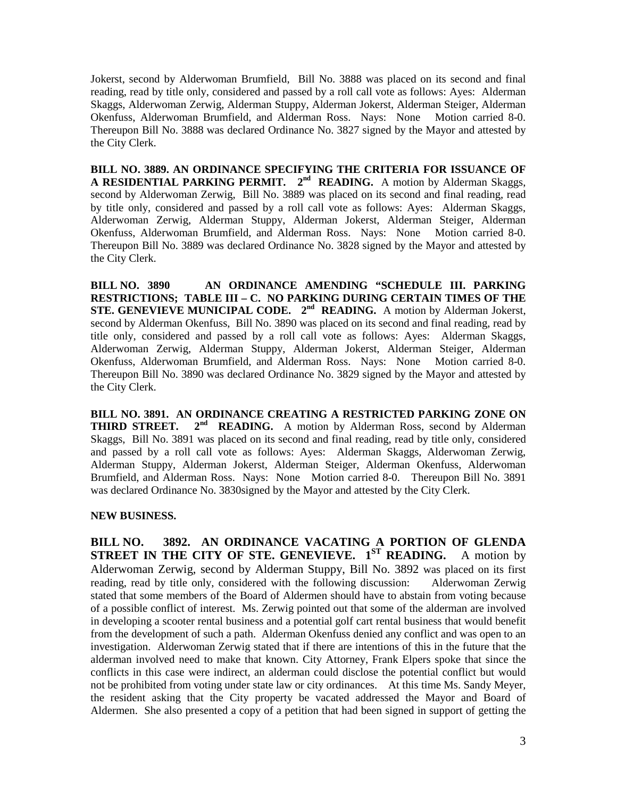Jokerst, second by Alderwoman Brumfield, Bill No. 3888 was placed on its second and final reading, read by title only, considered and passed by a roll call vote as follows: Ayes: Alderman Skaggs, Alderwoman Zerwig, Alderman Stuppy, Alderman Jokerst, Alderman Steiger, Alderman Okenfuss, Alderwoman Brumfield, and Alderman Ross. Nays: None Motion carried 8-0. Thereupon Bill No. 3888 was declared Ordinance No. 3827 signed by the Mayor and attested by the City Clerk.

**BILL NO. 3889. AN ORDINANCE SPECIFYING THE CRITERIA FOR ISSUANCE OF A RESIDENTIAL PARKING PERMIT. 2nd READING.** A motion by Alderman Skaggs, second by Alderwoman Zerwig, Bill No. 3889 was placed on its second and final reading, read by title only, considered and passed by a roll call vote as follows: Ayes: Alderman Skaggs, Alderwoman Zerwig, Alderman Stuppy, Alderman Jokerst, Alderman Steiger, Alderman Okenfuss, Alderwoman Brumfield, and Alderman Ross. Nays: None Motion carried 8-0. Thereupon Bill No. 3889 was declared Ordinance No. 3828 signed by the Mayor and attested by the City Clerk.

**BILL NO. 3890 AN ORDINANCE AMENDING "SCHEDULE III. PARKING RESTRICTIONS; TABLE III – C. NO PARKING DURING CERTAIN TIMES OF THE STE. GENEVIEVE MUNICIPAL CODE.** 2<sup>nd</sup> **READING.** A motion by Alderman Jokerst, second by Alderman Okenfuss, Bill No. 3890 was placed on its second and final reading, read by title only, considered and passed by a roll call vote as follows: Ayes: Alderman Skaggs, Alderwoman Zerwig, Alderman Stuppy, Alderman Jokerst, Alderman Steiger, Alderman Okenfuss, Alderwoman Brumfield, and Alderman Ross. Nays: None Motion carried 8-0. Thereupon Bill No. 3890 was declared Ordinance No. 3829 signed by the Mayor and attested by the City Clerk.

**BILL NO. 3891. AN ORDINANCE CREATING A RESTRICTED PARKING ZONE ON THIRD STREET.** 2<sup>nd</sup> READING. A motion by Alderman Ross, second by Alderman Skaggs, Bill No. 3891 was placed on its second and final reading, read by title only, considered and passed by a roll call vote as follows: Ayes: Alderman Skaggs, Alderwoman Zerwig, Alderman Stuppy, Alderman Jokerst, Alderman Steiger, Alderman Okenfuss, Alderwoman Brumfield, and Alderman Ross. Nays: None Motion carried 8-0. Thereupon Bill No. 3891 was declared Ordinance No. 3830signed by the Mayor and attested by the City Clerk.

## **NEW BUSINESS.**

**BILL NO. 3892. AN ORDINANCE VACATING A PORTION OF GLENDA STREET IN THE CITY OF STE. GENEVIEVE. 1ST READING.** A motion by Alderwoman Zerwig, second by Alderman Stuppy, Bill No. 3892 was placed on its first reading, read by title only, considered with the following discussion: Alderwoman Zerwig stated that some members of the Board of Aldermen should have to abstain from voting because of a possible conflict of interest. Ms. Zerwig pointed out that some of the alderman are involved in developing a scooter rental business and a potential golf cart rental business that would benefit from the development of such a path. Alderman Okenfuss denied any conflict and was open to an investigation. Alderwoman Zerwig stated that if there are intentions of this in the future that the alderman involved need to make that known. City Attorney, Frank Elpers spoke that since the conflicts in this case were indirect, an alderman could disclose the potential conflict but would not be prohibited from voting under state law or city ordinances. At this time Ms. Sandy Meyer, the resident asking that the City property be vacated addressed the Mayor and Board of Aldermen. She also presented a copy of a petition that had been signed in support of getting the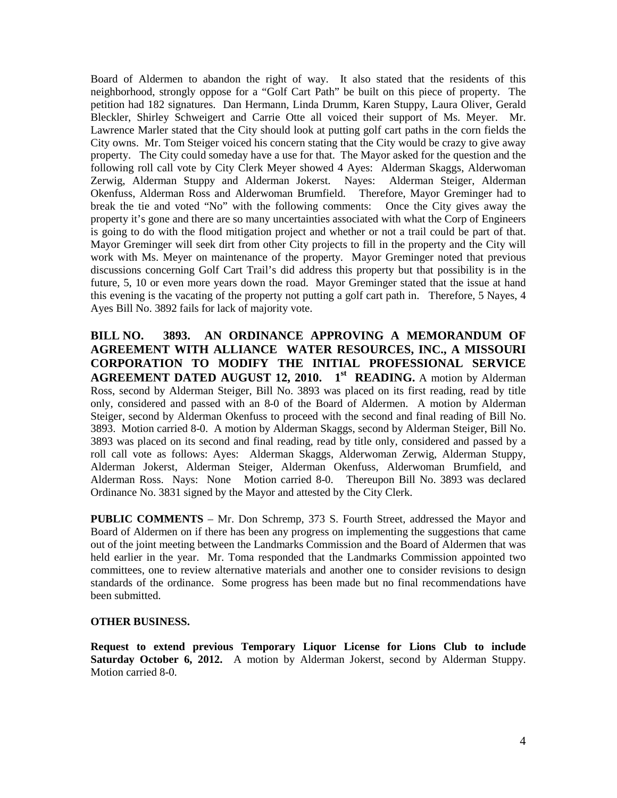Board of Aldermen to abandon the right of way. It also stated that the residents of this neighborhood, strongly oppose for a "Golf Cart Path" be built on this piece of property. The petition had 182 signatures. Dan Hermann, Linda Drumm, Karen Stuppy, Laura Oliver, Gerald Bleckler, Shirley Schweigert and Carrie Otte all voiced their support of Ms. Meyer. Mr. Lawrence Marler stated that the City should look at putting golf cart paths in the corn fields the City owns. Mr. Tom Steiger voiced his concern stating that the City would be crazy to give away property. The City could someday have a use for that. The Mayor asked for the question and the following roll call vote by City Clerk Meyer showed 4 Ayes: Alderman Skaggs, Alderwoman Zerwig, Alderman Stuppy and Alderman Jokerst. Nayes: Alderman Steiger, Alderman Okenfuss, Alderman Ross and Alderwoman Brumfield. Therefore, Mayor Greminger had to break the tie and voted "No" with the following comments: Once the City gives away the property it's gone and there are so many uncertainties associated with what the Corp of Engineers is going to do with the flood mitigation project and whether or not a trail could be part of that. Mayor Greminger will seek dirt from other City projects to fill in the property and the City will work with Ms. Meyer on maintenance of the property. Mayor Greminger noted that previous discussions concerning Golf Cart Trail's did address this property but that possibility is in the future, 5, 10 or even more years down the road. Mayor Greminger stated that the issue at hand this evening is the vacating of the property not putting a golf cart path in. Therefore, 5 Nayes, 4 Ayes Bill No. 3892 fails for lack of majority vote.

**BILL NO. 3893. AN ORDINANCE APPROVING A MEMORANDUM OF AGREEMENT WITH ALLIANCE WATER RESOURCES, INC., A MISSOURI CORPORATION TO MODIFY THE INITIAL PROFESSIONAL SERVICE AGREEMENT DATED AUGUST 12, 2010. 1st READING.** A motion by Alderman Ross, second by Alderman Steiger, Bill No. 3893 was placed on its first reading, read by title only, considered and passed with an 8-0 of the Board of Aldermen. A motion by Alderman Steiger, second by Alderman Okenfuss to proceed with the second and final reading of Bill No. 3893. Motion carried 8-0. A motion by Alderman Skaggs, second by Alderman Steiger, Bill No. 3893 was placed on its second and final reading, read by title only, considered and passed by a roll call vote as follows: Ayes: Alderman Skaggs, Alderwoman Zerwig, Alderman Stuppy, Alderman Jokerst, Alderman Steiger, Alderman Okenfuss, Alderwoman Brumfield, and Alderman Ross. Nays: None Motion carried 8-0. Thereupon Bill No. 3893 was declared Ordinance No. 3831 signed by the Mayor and attested by the City Clerk.

**PUBLIC COMMENTS** – Mr. Don Schremp, 373 S. Fourth Street, addressed the Mayor and Board of Aldermen on if there has been any progress on implementing the suggestions that came out of the joint meeting between the Landmarks Commission and the Board of Aldermen that was held earlier in the year. Mr. Toma responded that the Landmarks Commission appointed two committees, one to review alternative materials and another one to consider revisions to design standards of the ordinance. Some progress has been made but no final recommendations have been submitted.

## **OTHER BUSINESS.**

**Request to extend previous Temporary Liquor License for Lions Club to include Saturday October 6, 2012.** A motion by Alderman Jokerst, second by Alderman Stuppy. Motion carried 8-0.